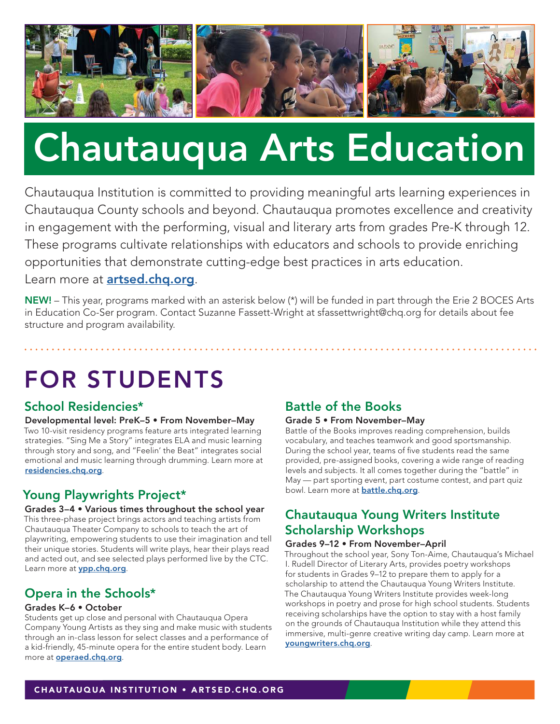

# Chautauqua Arts Education

Chautauqua Institution is committed to providing meaningful arts learning experiences in Chautauqua County schools and beyond. Chautauqua promotes excellence and creativity in engagement with the performing, visual and literary arts from grades Pre-K through 12. These programs cultivate relationships with educators and schools to provide enriching opportunities that demonstrate cutting-edge best practices in arts education. Learn more at **artsed.chg.org**.

NEW! – This year, programs marked with an asterisk below (\*) will be funded in part through the Erie 2 BOCES Arts in Education Co-Ser program. Contact Suzanne Fassett-Wright at sfassettwright@chq.org for details about fee structure and program availability.

# FOR STUDENTS

### School Residencies\*

Developmental level: PreK–5 • From November–May Two 10-visit residency programs feature arts integrated learning strategies. "Sing Me a Story" integrates ELA and music learning through story and song, and "Feelin' the Beat" integrates social emotional and music learning through drumming. Learn more at [residencies.chq.org](https://chq.org/discover-chautauqua/arts-education/school-residencies/).

## Young Playwrights Project\*

#### Grades 3–4 • Various times throughout the school year

This three-phase project brings actors and teaching artists from Chautauqua Theater Company to schools to teach the art of playwriting, empowering students to use their imagination and tell their unique stories. Students will write plays, hear their plays read and acted out, and see selected plays performed live by the CTC. Learn more at **[ypp.chq.org](https://chq.org/discover-chautauqua/arts-education/young-playwrights-project/)**.

## Opera in the Schools\*

#### Grades K–6 • October

Students get up close and personal with Chautauqua Opera Company Young Artists as they sing and make music with students through an in-class lesson for select classes and a performance of a kid-friendly, 45-minute opera for the entire student body. Learn more at **[operaed.chq.org](https://chq.org/discover-chautauqua/arts-education/opera-in-the-schools/)**.

### Battle of the Books

#### Grade 5 • From November–May

Battle of the Books improves reading comprehension, builds vocabulary, and teaches teamwork and good sportsmanship. During the school year, teams of five students read the same provided, pre-assigned books, covering a wide range of reading levels and subjects. It all comes together during the "battle" in May — part sporting event, part costume contest, and part quiz bowl. Learn more at **[battle.chq.org](https://chq.org/discover-chautauqua/arts-education/battle-of-the-books/)**.

# Chautauqua Young Writers Institute Scholarship Workshops

#### Grades 9–12 • From November–April

Throughout the school year, Sony Ton-Aime, Chautauqua's Michael I. Rudell Director of Literary Arts, provides poetry workshops for students in Grades 9–12 to prepare them to apply for a scholarship to attend the Chautauqua Young Writers Institute. The Chautauqua Young Writers Institute provides week-long workshops in poetry and prose for high school students. Students receiving scholarships have the option to stay with a host family on the grounds of Chautauqua Institution while they attend this immersive, multi-genre creative writing day camp. Learn more at [youngwriters.chq.org](https://chq.org/schedule/youth-and-family/educational-experiences/young-writers-institute/).